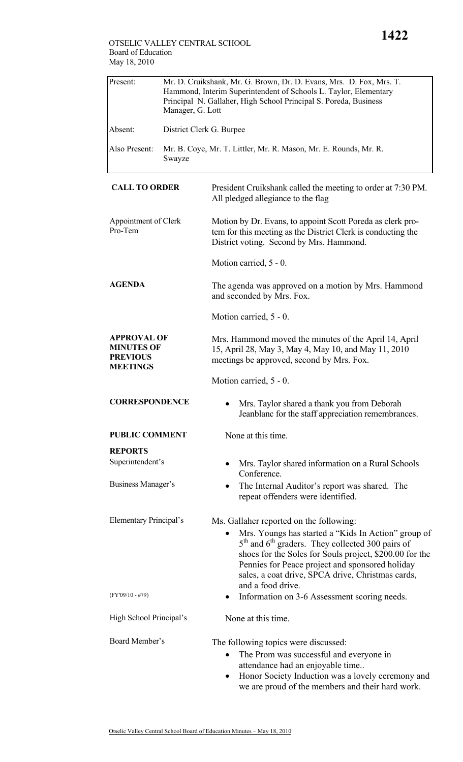| Present:                                                                      | Mr. D. Cruikshank, Mr. G. Brown, Dr. D. Evans, Mrs. D. Fox, Mrs. T.<br>Hammond, Interim Superintendent of Schools L. Taylor, Elementary<br>Principal N. Gallaher, High School Principal S. Poreda, Business<br>Manager, G. Lott |                                                                                                                                                                                                                                                                                                                                                             |  |  |
|-------------------------------------------------------------------------------|---------------------------------------------------------------------------------------------------------------------------------------------------------------------------------------------------------------------------------|-------------------------------------------------------------------------------------------------------------------------------------------------------------------------------------------------------------------------------------------------------------------------------------------------------------------------------------------------------------|--|--|
| Absent:                                                                       | District Clerk G. Burpee                                                                                                                                                                                                        |                                                                                                                                                                                                                                                                                                                                                             |  |  |
| Also Present:                                                                 | Swayze                                                                                                                                                                                                                          | Mr. B. Coye, Mr. T. Littler, Mr. R. Mason, Mr. E. Rounds, Mr. R.                                                                                                                                                                                                                                                                                            |  |  |
| <b>CALL TO ORDER</b>                                                          |                                                                                                                                                                                                                                 | President Cruikshank called the meeting to order at 7:30 PM.<br>All pledged allegiance to the flag                                                                                                                                                                                                                                                          |  |  |
| Appointment of Clerk<br>Pro-Tem                                               |                                                                                                                                                                                                                                 | Motion by Dr. Evans, to appoint Scott Poreda as clerk pro-<br>tem for this meeting as the District Clerk is conducting the<br>District voting. Second by Mrs. Hammond.                                                                                                                                                                                      |  |  |
|                                                                               |                                                                                                                                                                                                                                 | Motion carried, 5 - 0.                                                                                                                                                                                                                                                                                                                                      |  |  |
| <b>AGENDA</b>                                                                 |                                                                                                                                                                                                                                 | The agenda was approved on a motion by Mrs. Hammond<br>and seconded by Mrs. Fox.                                                                                                                                                                                                                                                                            |  |  |
|                                                                               |                                                                                                                                                                                                                                 | Motion carried, 5 - 0.                                                                                                                                                                                                                                                                                                                                      |  |  |
| <b>APPROVAL OF</b><br><b>MINUTES OF</b><br><b>PREVIOUS</b><br><b>MEETINGS</b> |                                                                                                                                                                                                                                 | Mrs. Hammond moved the minutes of the April 14, April<br>15, April 28, May 3, May 4, May 10, and May 11, 2010<br>meetings be approved, second by Mrs. Fox.                                                                                                                                                                                                  |  |  |
|                                                                               |                                                                                                                                                                                                                                 | Motion carried, 5 - 0.                                                                                                                                                                                                                                                                                                                                      |  |  |
| <b>CORRESPONDENCE</b>                                                         |                                                                                                                                                                                                                                 | Mrs. Taylor shared a thank you from Deborah<br>Jeanblanc for the staff appreciation remembrances.                                                                                                                                                                                                                                                           |  |  |
| <b>PUBLIC COMMENT</b>                                                         |                                                                                                                                                                                                                                 | None at this time.                                                                                                                                                                                                                                                                                                                                          |  |  |
| <b>REPORTS</b>                                                                |                                                                                                                                                                                                                                 |                                                                                                                                                                                                                                                                                                                                                             |  |  |
| Superintendent's                                                              |                                                                                                                                                                                                                                 | Mrs. Taylor shared information on a Rural Schools<br>Conference.                                                                                                                                                                                                                                                                                            |  |  |
| Business Manager's                                                            |                                                                                                                                                                                                                                 | The Internal Auditor's report was shared. The<br>repeat offenders were identified.                                                                                                                                                                                                                                                                          |  |  |
| Elementary Principal's                                                        |                                                                                                                                                                                                                                 | Ms. Gallaher reported on the following:<br>Mrs. Youngs has started a "Kids In Action" group of<br>$\bullet$<br>$5th$ and $6th$ graders. They collected 300 pairs of<br>shoes for the Soles for Souls project, \$200.00 for the<br>Pennies for Peace project and sponsored holiday<br>sales, a coat drive, SPCA drive, Christmas cards,<br>and a food drive. |  |  |
| $(FY'09/10 - #79)$                                                            |                                                                                                                                                                                                                                 | Information on 3-6 Assessment scoring needs.<br>$\bullet$                                                                                                                                                                                                                                                                                                   |  |  |
| High School Principal's                                                       |                                                                                                                                                                                                                                 | None at this time.                                                                                                                                                                                                                                                                                                                                          |  |  |
| Board Member's                                                                |                                                                                                                                                                                                                                 | The following topics were discussed:<br>The Prom was successful and everyone in<br>$\bullet$<br>attendance had an enjoyable time<br>Honor Society Induction was a lovely ceremony and<br>$\bullet$                                                                                                                                                          |  |  |

we are proud of the members and their hard work.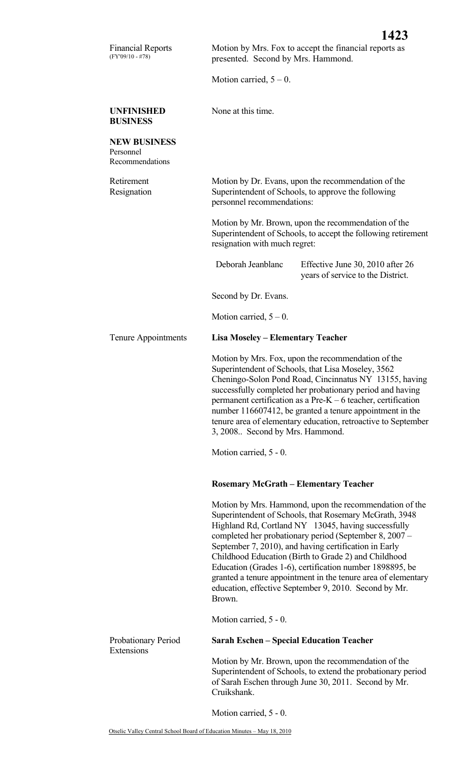Motion carried,  $5 - 0$ .

**UNFINISHED BUSINESS** 

Financial Reports (FY'09/10 - #78)

None at this time.

## **NEW BUSINESS**  Personnel Recommendations Retirement Resignation Motion by Dr. Evans, upon the recommendation of the Superintendent of Schools, to approve the following personnel recommendations: Motion by Mr. Brown, upon the recommendation of the Superintendent of Schools, to accept the following retirement resignation with much regret: Deborah Jeanblanc Effective June 30, 2010 after 26 years of service to the District. Second by Dr. Evans. Motion carried,  $5 - 0$ . Tenure Appointments **Lisa Moseley – Elementary Teacher**  Motion by Mrs. Fox, upon the recommendation of the Superintendent of Schools, that Lisa Moseley, 3562 Cheningo-Solon Pond Road, Cincinnatus NY 13155, having successfully completed her probationary period and having permanent certification as a Pre-K – 6 teacher, certification number 116607412, be granted a tenure appointment in the tenure area of elementary education, retroactive to September 3, 2008.. Second by Mrs. Hammond. Motion carried, 5 - 0. **Rosemary McGrath – Elementary Teacher**  Motion by Mrs. Hammond, upon the recommendation of the Superintendent of Schools, that Rosemary McGrath, 3948 Highland Rd, Cortland NY 13045, having successfully completed her probationary period (September 8, 2007 – September 7, 2010), and having certification in Early Childhood Education (Birth to Grade 2) and Childhood Education (Grades 1-6), certification number 1898895, be granted a tenure appointment in the tenure area of elementary education, effective September 9, 2010. Second by Mr. Brown. Motion carried, 5 - 0. Probationary Period Extensions **Sarah Eschen – Special Education Teacher**  Motion by Mr. Brown, upon the recommendation of the Superintendent of Schools, to extend the probationary period of Sarah Eschen through June 30, 2011. Second by Mr. Cruikshank.

Motion carried, 5 - 0.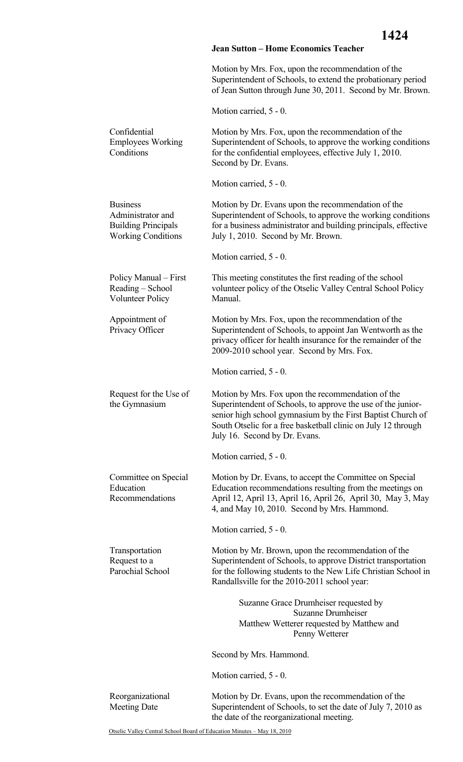## **Jean Sutton – Home Economics Teacher**

Motion by Mrs. Fox, upon the recommendation of the Superintendent of Schools, to extend the probationary period of Jean Sutton through June 30, 2011. Second by Mr. Brown.

Motion carried, 5 - 0.

| Confidential<br><b>Employees Working</b><br>Conditions                                          | Motion by Mrs. Fox, upon the recommendation of the<br>Superintendent of Schools, to approve the working conditions<br>for the confidential employees, effective July 1, 2010.<br>Second by Dr. Evans.                                                                              |  |
|-------------------------------------------------------------------------------------------------|------------------------------------------------------------------------------------------------------------------------------------------------------------------------------------------------------------------------------------------------------------------------------------|--|
|                                                                                                 | Motion carried, 5 - 0.                                                                                                                                                                                                                                                             |  |
| <b>Business</b><br>Administrator and<br><b>Building Principals</b><br><b>Working Conditions</b> | Motion by Dr. Evans upon the recommendation of the<br>Superintendent of Schools, to approve the working conditions<br>for a business administrator and building principals, effective<br>July 1, 2010. Second by Mr. Brown.                                                        |  |
|                                                                                                 | Motion carried, 5 - 0.                                                                                                                                                                                                                                                             |  |
| Policy Manual – First<br>Reading - School<br><b>Volunteer Policy</b>                            | This meeting constitutes the first reading of the school<br>volunteer policy of the Otselic Valley Central School Policy<br>Manual.                                                                                                                                                |  |
| Appointment of<br>Privacy Officer                                                               | Motion by Mrs. Fox, upon the recommendation of the<br>Superintendent of Schools, to appoint Jan Wentworth as the<br>privacy officer for health insurance for the remainder of the<br>2009-2010 school year. Second by Mrs. Fox.                                                    |  |
|                                                                                                 | Motion carried, 5 - 0.                                                                                                                                                                                                                                                             |  |
| Request for the Use of<br>the Gymnasium                                                         | Motion by Mrs. Fox upon the recommendation of the<br>Superintendent of Schools, to approve the use of the junior-<br>senior high school gymnasium by the First Baptist Church of<br>South Otselic for a free basketball clinic on July 12 through<br>July 16. Second by Dr. Evans. |  |
|                                                                                                 | Motion carried, 5 - 0.                                                                                                                                                                                                                                                             |  |
| Committee on Special<br>Education<br>Recommendations                                            | Motion by Dr. Evans, to accept the Committee on Special<br>Education recommendations resulting from the meetings on<br>April 12, April 13, April 16, April 26, April 30, May 3, May<br>4, and May 10, 2010. Second by Mrs. Hammond.                                                |  |
|                                                                                                 | Motion carried, 5 - 0.                                                                                                                                                                                                                                                             |  |
| Transportation<br>Request to a<br>Parochial School                                              | Motion by Mr. Brown, upon the recommendation of the<br>Superintendent of Schools, to approve District transportation<br>for the following students to the New Life Christian School in<br>Randallsville for the 2010-2011 school year:                                             |  |
|                                                                                                 | Suzanne Grace Drumheiser requested by<br><b>Suzanne Drumheiser</b><br>Matthew Wetterer requested by Matthew and<br>Penny Wetterer                                                                                                                                                  |  |
|                                                                                                 | Second by Mrs. Hammond.                                                                                                                                                                                                                                                            |  |
|                                                                                                 | Motion carried, 5 - 0.                                                                                                                                                                                                                                                             |  |
| Reorganizational<br><b>Meeting Date</b>                                                         | Motion by Dr. Evans, upon the recommendation of the<br>Superintendent of Schools, to set the date of July 7, 2010 as<br>the date of the reorganizational meeting.                                                                                                                  |  |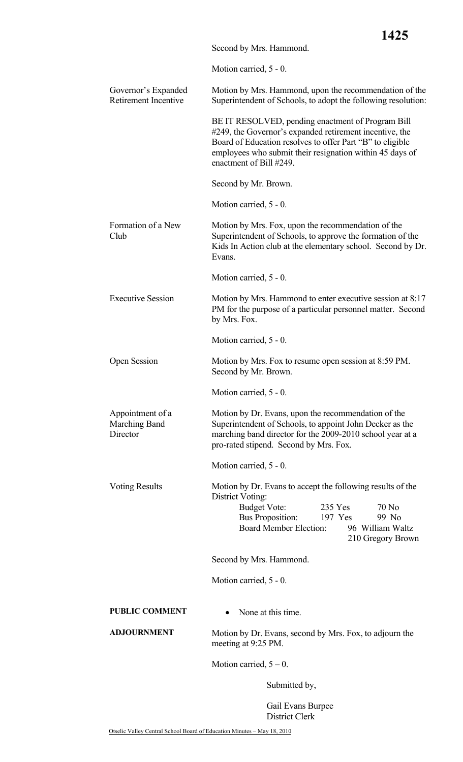|                                               |                                                                                                                                                                                                                                                                  | ⊥┱┙┙                                                    |  |
|-----------------------------------------------|------------------------------------------------------------------------------------------------------------------------------------------------------------------------------------------------------------------------------------------------------------------|---------------------------------------------------------|--|
|                                               | Second by Mrs. Hammond.                                                                                                                                                                                                                                          |                                                         |  |
|                                               | Motion carried, 5 - 0.                                                                                                                                                                                                                                           |                                                         |  |
| Governor's Expanded<br>Retirement Incentive   | Motion by Mrs. Hammond, upon the recommendation of the<br>Superintendent of Schools, to adopt the following resolution:                                                                                                                                          |                                                         |  |
|                                               | BE IT RESOLVED, pending enactment of Program Bill<br>#249, the Governor's expanded retirement incentive, the<br>Board of Education resolves to offer Part "B" to eligible<br>employees who submit their resignation within 45 days of<br>enactment of Bill #249. |                                                         |  |
|                                               | Second by Mr. Brown.                                                                                                                                                                                                                                             |                                                         |  |
|                                               | Motion carried, 5 - 0.                                                                                                                                                                                                                                           |                                                         |  |
| Formation of a New<br>Club                    | Motion by Mrs. Fox, upon the recommendation of the<br>Superintendent of Schools, to approve the formation of the<br>Kids In Action club at the elementary school. Second by Dr.<br>Evans.                                                                        |                                                         |  |
|                                               | Motion carried, 5 - 0.                                                                                                                                                                                                                                           |                                                         |  |
| <b>Executive Session</b>                      | Motion by Mrs. Hammond to enter executive session at 8:17<br>PM for the purpose of a particular personnel matter. Second<br>by Mrs. Fox.                                                                                                                         |                                                         |  |
|                                               | Motion carried, 5 - 0.                                                                                                                                                                                                                                           |                                                         |  |
| <b>Open Session</b>                           | Motion by Mrs. Fox to resume open session at 8:59 PM.<br>Second by Mr. Brown.                                                                                                                                                                                    |                                                         |  |
|                                               | Motion carried, 5 - 0.                                                                                                                                                                                                                                           |                                                         |  |
| Appointment of a<br>Marching Band<br>Director | Motion by Dr. Evans, upon the recommendation of the<br>Superintendent of Schools, to appoint John Decker as the<br>marching band director for the 2009-2010 school year at a<br>pro-rated stipend. Second by Mrs. Fox.                                           |                                                         |  |
|                                               | Motion carried, 5 - 0.                                                                                                                                                                                                                                           |                                                         |  |
| <b>Voting Results</b>                         | Motion by Dr. Evans to accept the following results of the<br>District Voting:<br>Budget Vote:<br>235 Yes<br><b>Bus Proposition:</b><br>197 Yes<br><b>Board Member Election:</b>                                                                                 | 70 No<br>99 No<br>96 William Waltz<br>210 Gregory Brown |  |
|                                               | Second by Mrs. Hammond.                                                                                                                                                                                                                                          |                                                         |  |
|                                               | Motion carried, 5 - 0.                                                                                                                                                                                                                                           |                                                         |  |
| <b>PUBLIC COMMENT</b>                         | None at this time.<br>$\bullet$                                                                                                                                                                                                                                  |                                                         |  |
| <b>ADJOURNMENT</b>                            | Motion by Dr. Evans, second by Mrs. Fox, to adjourn the<br>meeting at 9:25 PM.                                                                                                                                                                                   |                                                         |  |
|                                               | Motion carried, $5 - 0$ .                                                                                                                                                                                                                                        |                                                         |  |
|                                               | Submitted by,                                                                                                                                                                                                                                                    |                                                         |  |
|                                               | Gail Evans Burpee<br>District Clerk                                                                                                                                                                                                                              |                                                         |  |